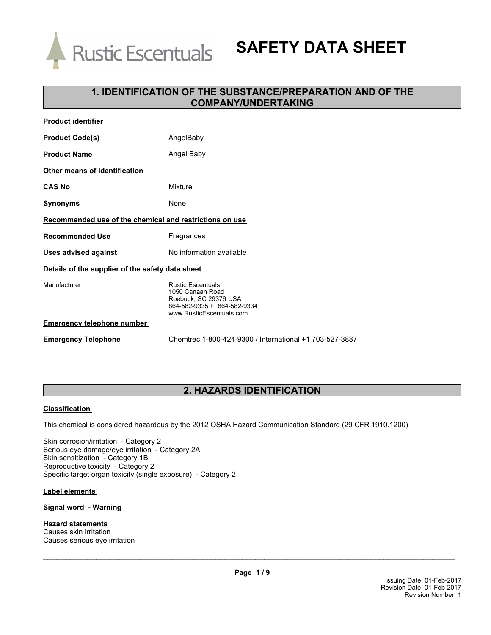

# **SAFETY DATA SHEET**

### **1. IDENTIFICATION OF THE SUBSTANCE/PREPARATION AND OF THE COMPANY/UNDERTAKING**

| <b>Product identifier</b>                               |                                                                                                                                   |  |
|---------------------------------------------------------|-----------------------------------------------------------------------------------------------------------------------------------|--|
| <b>Product Code(s)</b>                                  | AngelBaby                                                                                                                         |  |
| <b>Product Name</b>                                     | Angel Baby                                                                                                                        |  |
| Other means of identification                           |                                                                                                                                   |  |
| <b>CAS No</b>                                           | Mixture                                                                                                                           |  |
| Synonyms                                                | None                                                                                                                              |  |
| Recommended use of the chemical and restrictions on use |                                                                                                                                   |  |
| <b>Recommended Use</b>                                  | Fragrances                                                                                                                        |  |
| Uses advised against                                    | No information available                                                                                                          |  |
| Details of the supplier of the safety data sheet        |                                                                                                                                   |  |
| Manufacturer                                            | <b>Rustic Escentuals</b><br>1050 Canaan Road<br>Roebuck, SC 29376 USA<br>864-582-9335 F: 864-582-9334<br>www.RusticEscentuals.com |  |
| <b>Emergency telephone number</b>                       |                                                                                                                                   |  |
| <b>Emergency Telephone</b>                              | Chemtrec 1-800-424-9300 / International +1 703-527-3887                                                                           |  |

### **2. HAZARDS IDENTIFICATION**

#### **Classification**

This chemical is considered hazardous by the 2012 OSHA Hazard Communication Standard (29 CFR 1910.1200)

Skin corrosion/irritation - Category 2 Serious eye damage/eye irritation - Category 2A Skin sensitization - Category 1B Reproductive toxicity - Category 2 Specific target organ toxicity (single exposure) - Category 2

#### **Label elements**

#### **Signal word - Warning**

**Hazard statements** Causes skin irritation Causes serious eye irritation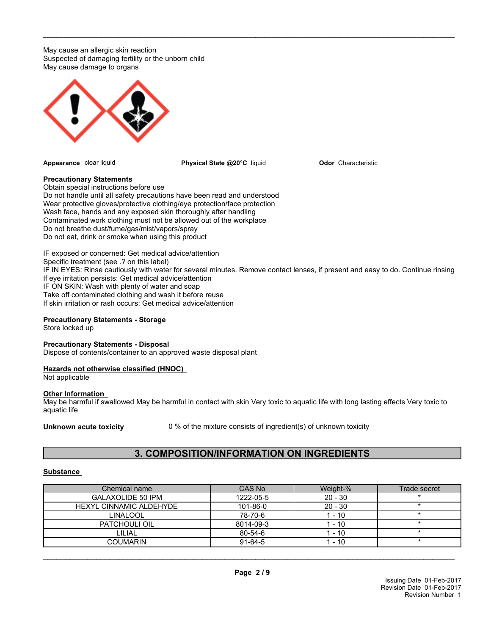May cause an allergic skin reaction Suspected of damaging fertility or the unborn child May cause damage to organs



**Appearance** clear liquid **Physical State @20°C** liquid

**Odor** Characteristic

#### **Precautionary Statements**

Obtain special instructions before use Do not handle until all safety precautions have been read and understood Wear protective gloves/protective clothing/eye protection/face protection Wash face, hands and any exposed skin thoroughly after handling Contaminated work clothing must not be allowed out of the workplace Do not breathe dust/fume/gas/mist/vapors/spray Do not eat, drink or smoke when using this product

IF exposed or concerned: Get medical advice/attention Specific treatment (see .? on this label) IF IN EYES: Rinse cautiously with water for several minutes. Remove contact lenses, if present and easy to do. Continue rinsing If eye irritation persists: Get medical advice/attention IF ON SKIN: Wash with plenty of water and soap Take off contaminated clothing and wash it before reuse If skin irritation or rash occurs: Get medical advice/attention

\_\_\_\_\_\_\_\_\_\_\_\_\_\_\_\_\_\_\_\_\_\_\_\_\_\_\_\_\_\_\_\_\_\_\_\_\_\_\_\_\_\_\_\_\_\_\_\_\_\_\_\_\_\_\_\_\_\_\_\_\_\_\_\_\_\_\_\_\_\_\_\_\_\_\_\_\_\_\_\_\_\_\_\_\_\_\_\_\_\_\_\_\_

#### **Precautionary Statements - Storage**

Store locked up

#### **Precautionary Statements - Disposal**

Dispose of contents/container to an approved waste disposal plant

#### **Hazards not otherwise classified (HNOC)**

Not applicable

#### **Other Information**

May be harmful if swallowed May be harmful in contact with skin Very toxic to aquatic life with long lasting effects Very toxic to aquatic life

**Unknown acute toxicity** 0 % of the mixture consists of ingredient(s) of unknown toxicity

### **3. COMPOSITION/INFORMATION ON INGREDIENTS**

#### **Substance**

| Chemical name           | CAS No        | Weight-%  | Trade secret |
|-------------------------|---------------|-----------|--------------|
| GALAXOLIDE 50 IPM       | 1222-05-5     | $20 - 30$ |              |
| HEXYL CINNAMIC ALDEHYDE | 101-86-0      | $20 - 30$ |              |
| <b>LINALOOL</b>         | 78-70-6       | 1 - 10    |              |
| PATCHOULI OIL           | 8014-09-3     | 1 - 10    |              |
| LILIAL                  | $80 - 54 - 6$ | 1 - 10    |              |
| COUMARIN                | $91 - 64 - 5$ | $-10$     |              |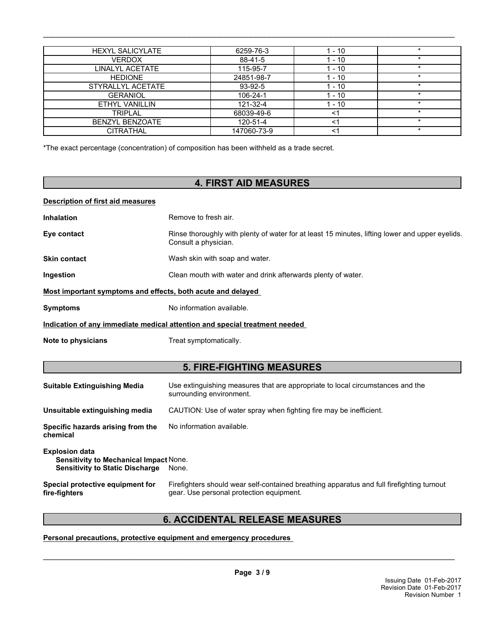| <b>HEXYL SALICYLATE</b> | 6259-76-3   | $1 - 10$ | $\star$ |
|-------------------------|-------------|----------|---------|
| VERDOX                  | 88-41-5     | 1 - 10   | $\star$ |
| LINALYL ACETATE         | 115-95-7    | 1 - 10   |         |
| <b>HEDIONE</b>          | 24851-98-7  | 1 - 10   |         |
| STYRALLYL ACETATE       | 93-92-5     | 1 - 10   |         |
| <b>GERANIOL</b>         | 106-24-1    | $1 - 10$ | $\star$ |
| ETHYL VANILLIN          | 121-32-4    | $1 - 10$ | $\star$ |
| <b>TRIPLAL</b>          | 68039-49-6  | <1       | $\star$ |
| <b>BENZYL BENZOATE</b>  | 120-51-4    | <1       | $\ast$  |
| <b>CITRATHAL</b>        | 147060-73-9 | <1       | $\star$ |

\*The exact percentage (concentration) of composition has been withheld as a trade secret.

### **4. FIRST AID MEASURES**

#### **Description of first aid measures**

**Inhalation** Remove to fresh air.

- Eye contact **Rinse thoroughly with plenty of water for at least 15 minutes, lifting lower and upper eyelids.** Consult a physician.
- **Skin contact** Wash skin with soap and water.
- **Ingestion Ingestion Clean mouth with water and drink afterwards plenty of water.**

#### **Most important symptoms and effects, both acute and delayed**

**Symptoms** No information available.

#### **Indication of any immediate medical attention and special treatment needed**

**Note to physicians** Treat symptomatically.

### **5. FIRE-FIGHTING MEASURES**

| <b>Suitable Extinguishing Media</b>                                                                              | Use extinguishing measures that are appropriate to local circumstances and the<br>surrounding environment.                            |
|------------------------------------------------------------------------------------------------------------------|---------------------------------------------------------------------------------------------------------------------------------------|
| Unsuitable extinguishing media                                                                                   | CAUTION: Use of water spray when fighting fire may be inefficient.                                                                    |
| Specific hazards arising from the<br>chemical                                                                    | No information available.                                                                                                             |
| <b>Explosion data</b><br><b>Sensitivity to Mechanical Impact None.</b><br><b>Sensitivity to Static Discharge</b> | None.                                                                                                                                 |
| Special protective equipment for<br>fire-fighters                                                                | Firefighters should wear self-contained breathing apparatus and full firefighting turnout<br>gear. Use personal protection equipment. |

### **6. ACCIDENTAL RELEASE MEASURES**

**Personal precautions, protective equipment and emergency procedures**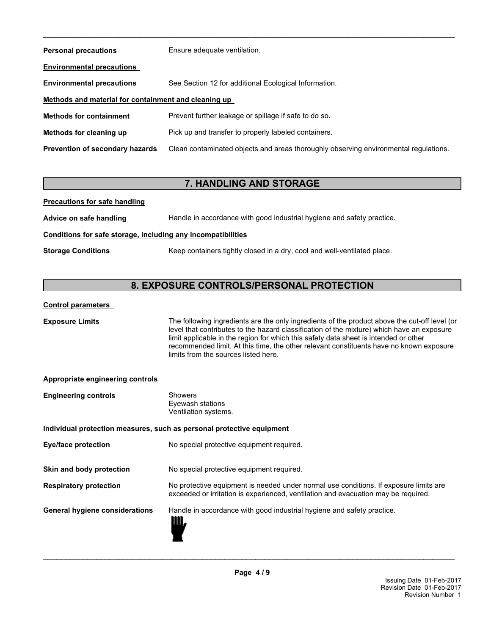| <b>Personal precautions</b>                          | Ensure adequate ventilation.                                                         |  |
|------------------------------------------------------|--------------------------------------------------------------------------------------|--|
| <b>Environmental precautions</b>                     |                                                                                      |  |
| <b>Environmental precautions</b>                     | See Section 12 for additional Ecological Information.                                |  |
| Methods and material for containment and cleaning up |                                                                                      |  |
| <b>Methods for containment</b>                       | Prevent further leakage or spillage if safe to do so.                                |  |
| Methods for cleaning up                              | Pick up and transfer to properly labeled containers.                                 |  |
| <b>Prevention of secondary hazards</b>               | Clean contaminated objects and areas thoroughly observing environmental regulations. |  |

### **7. HANDLING AND STORAGE**

**Precautions for safe handling**

| Advice on safe handling | Handle in accordance with good industrial hygiene and safety practice. |
|-------------------------|------------------------------------------------------------------------|
|-------------------------|------------------------------------------------------------------------|

#### **Conditions for safe storage, including any incompatibilities**

**Storage Conditions** Keep containers tightly closed in a dry, cool and well-ventilated place.

### **8. EXPOSURE CONTROLS/PERSONAL PROTECTION**

#### **Control parameters**

**Exposure Limits** The following ingredients are the only ingredients of the product above the cut-off level (or level that contributes to the hazard classification of the mixture) which have an exposure limit applicable in the region for which this safety data sheet is intended or other recommended limit. At this time, the other relevant constituents have no known exposure limits from the sources listed here.

#### **Appropriate engineering controls**

| <b>Engineering controls</b>           | <b>Showers</b><br>Eyewash stations<br>Ventilation systems.                                                                                                                  |
|---------------------------------------|-----------------------------------------------------------------------------------------------------------------------------------------------------------------------------|
|                                       | Individual protection measures, such as personal protective equipment                                                                                                       |
| Eye/face protection                   | No special protective equipment required.                                                                                                                                   |
| Skin and body protection              | No special protective equipment required.                                                                                                                                   |
| <b>Respiratory protection</b>         | No protective equipment is needed under normal use conditions. If exposure limits are<br>exceeded or irritation is experienced, ventilation and evacuation may be required. |
| <b>General hygiene considerations</b> | Handle in accordance with good industrial hygiene and safety practice.<br>Ш.                                                                                                |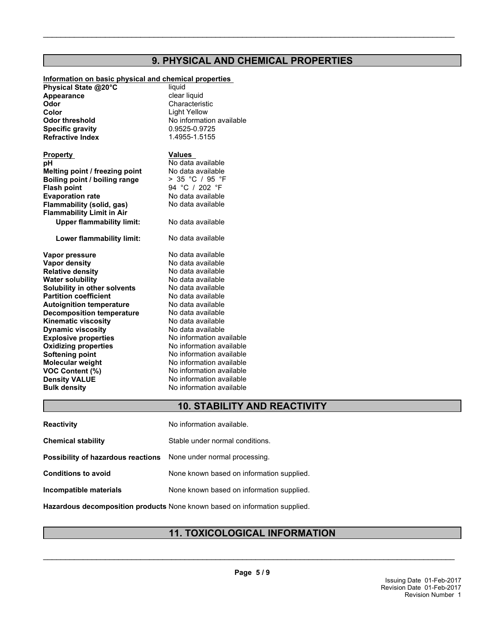### **9. PHYSICAL AND CHEMICAL PROPERTIES**

\_\_\_\_\_\_\_\_\_\_\_\_\_\_\_\_\_\_\_\_\_\_\_\_\_\_\_\_\_\_\_\_\_\_\_\_\_\_\_\_\_\_\_\_\_\_\_\_\_\_\_\_\_\_\_\_\_\_\_\_\_\_\_\_\_\_\_\_\_\_\_\_\_\_\_\_\_\_\_\_\_\_\_\_\_\_\_\_\_\_\_\_\_

## **Information on basic physical and chemical properties**

**Physical State @20°C** liquid<br> **Appearance Clear liquid** Clear liquid Appearance **Odor** Characteristic **Color Color Light Yellow Odor threshold**<br> **Specific gravity**<br> **C.9525-0.9725 Specific gravity Refractive Index** 1.4955-1.5155

**Property Values pH** No data available **Melting point / freezing point** No data available<br>**Boiling point / boiling range**  $\rightarrow$  35 °C / 95 °F **Boiling point / boiling range Flash point**<br> **Evaporation rate**<br> **Evaporation rate**<br> **Evaporation rate Evaporation rate No data available**<br> **Elammability (solid. gas)** No data available **Flammability (solid, gas) Flammability Limit in Air Upper flammability limit:** No data available

**Lower flammability limit:** No data available

**Explosive properties**<br> **Oxidizing properties**<br>
No information available **Oxidizing properties Softening point No information available**<br> **Molecular weight No information available VOC Content (%)**<br> **Density VALUE** Mo information available<br>
No information available **Bulk density** No information available **Vapor pressure** No data available **Vapor density**<br> **Relative density**<br> **Relative density**<br> **No data available Relative density No data available**<br> **Water solubility No data available Water solubility Solubility in other solvents** No data available **Partition coefficient** No data available<br> **Autoignition temperature** No data available **Autoignition temperature** No data available<br> **Decomposition temperature** No data available **Decomposition temperature Kinematic viscosity** No data available **Dynamic viscosity**

**No information available No information available** No data available

### **10. STABILITY AND REACTIVITY**

| <b>Reactivity</b>                  | No information available.                 |
|------------------------------------|-------------------------------------------|
| <b>Chemical stability</b>          | Stable under normal conditions.           |
| Possibility of hazardous reactions | None under normal processing.             |
| <b>Conditions to avoid</b>         | None known based on information supplied. |
| Incompatible materials             | None known based on information supplied. |
|                                    |                                           |

**Hazardous decomposition products** None known based on information supplied.

### **11. TOXICOLOGICAL INFORMATION**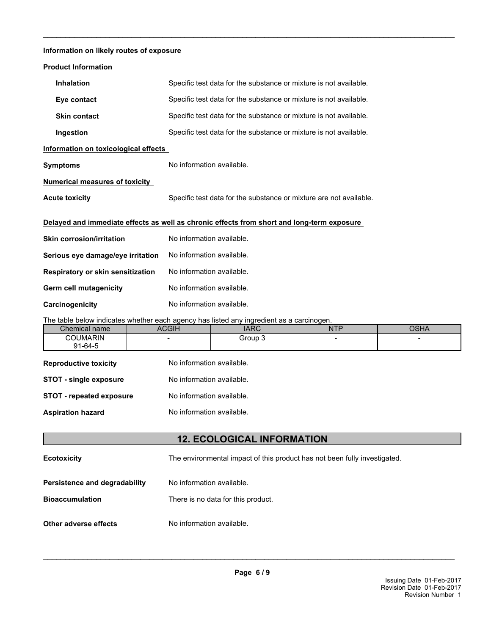#### **Information on likely routes of exposure**

| <b>Product Information</b>                                                                 |                                                                                          |                                                                    |            |  |
|--------------------------------------------------------------------------------------------|------------------------------------------------------------------------------------------|--------------------------------------------------------------------|------------|--|
| <b>Inhalation</b>                                                                          |                                                                                          | Specific test data for the substance or mixture is not available.  |            |  |
| Eye contact                                                                                |                                                                                          | Specific test data for the substance or mixture is not available.  |            |  |
| <b>Skin contact</b>                                                                        |                                                                                          | Specific test data for the substance or mixture is not available.  |            |  |
| Ingestion                                                                                  |                                                                                          | Specific test data for the substance or mixture is not available.  |            |  |
| Information on toxicological effects                                                       |                                                                                          |                                                                    |            |  |
| <b>Symptoms</b>                                                                            | No information available.                                                                |                                                                    |            |  |
| <b>Numerical measures of toxicity</b>                                                      |                                                                                          |                                                                    |            |  |
| <b>Acute toxicity</b>                                                                      |                                                                                          | Specific test data for the substance or mixture are not available. |            |  |
|                                                                                            |                                                                                          |                                                                    |            |  |
| Delayed and immediate effects as well as chronic effects from short and long-term exposure |                                                                                          |                                                                    |            |  |
| <b>Skin corrosion/irritation</b>                                                           | No information available.                                                                |                                                                    |            |  |
| Serious eye damage/eye irritation                                                          | No information available.                                                                |                                                                    |            |  |
| <b>Respiratory or skin sensitization</b>                                                   | No information available.                                                                |                                                                    |            |  |
| <b>Germ cell mutagenicity</b>                                                              | No information available.                                                                |                                                                    |            |  |
| Carcinogenicity                                                                            | No information available.                                                                |                                                                    |            |  |
|                                                                                            | The table below indicates whether each agency has listed any ingredient as a carcinogen. |                                                                    |            |  |
| Chemical name                                                                              | <b>ACGIH</b>                                                                             | <b>IARC</b>                                                        | <b>NTP</b> |  |
| $\sim$ $\sim$ $\sim$ $\sim$ $\sim$ $\sim$ $\sim$                                           |                                                                                          | $C_{\text{max}}$                                                   |            |  |

\_\_\_\_\_\_\_\_\_\_\_\_\_\_\_\_\_\_\_\_\_\_\_\_\_\_\_\_\_\_\_\_\_\_\_\_\_\_\_\_\_\_\_\_\_\_\_\_\_\_\_\_\_\_\_\_\_\_\_\_\_\_\_\_\_\_\_\_\_\_\_\_\_\_\_\_\_\_\_\_\_\_\_\_\_\_\_\_\_\_\_\_\_

| Chemical name                 | <b>ACGIH</b>              | <b>IARC</b>               | <b>NTP</b>               | <b>OSHA</b> |
|-------------------------------|---------------------------|---------------------------|--------------------------|-------------|
| <b>COUMARIN</b>               | $\overline{\phantom{0}}$  | Group 3                   | $\overline{\phantom{0}}$ |             |
| $91 - 64 - 5$                 |                           |                           |                          |             |
| <b>Reproductive toxicity</b>  | No information available. |                           |                          |             |
| <b>STOT - single exposure</b> |                           | No information available. |                          |             |
| STOT - repeated exposure      |                           | No information available. |                          |             |
| <b>Aspiration hazard</b>      |                           | No information available. |                          |             |
|                               |                           |                           |                          |             |

### **12. ECOLOGICAL INFORMATION**

**Ecotoxicity** The environmental impact of this product has not been fully investigated.

- **Persistence and degradability** No information available.
- **Bioaccumulation** There is no data for this product.
- **Other adverse effects** No information available.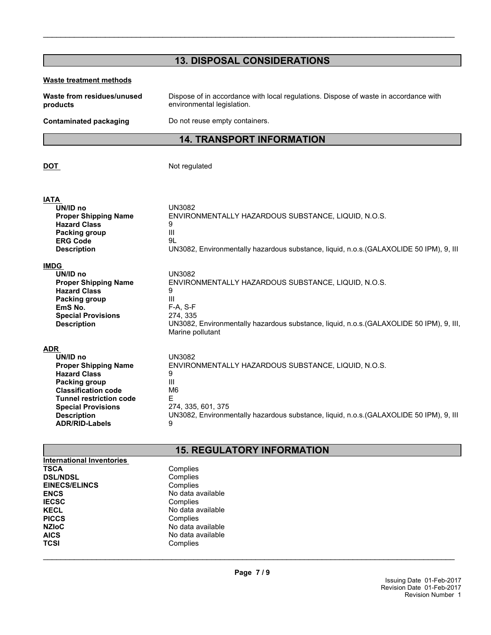| <b>13. DISPOSAL CONSIDERATIONS</b>                                                                                                                                                                                                        |                                                                                                                                                                                                                             |  |
|-------------------------------------------------------------------------------------------------------------------------------------------------------------------------------------------------------------------------------------------|-----------------------------------------------------------------------------------------------------------------------------------------------------------------------------------------------------------------------------|--|
| <b>Waste treatment methods</b>                                                                                                                                                                                                            |                                                                                                                                                                                                                             |  |
| Waste from residues/unused<br>products                                                                                                                                                                                                    | Dispose of in accordance with local regulations. Dispose of waste in accordance with<br>environmental legislation.                                                                                                          |  |
| <b>Contaminated packaging</b>                                                                                                                                                                                                             | Do not reuse empty containers.                                                                                                                                                                                              |  |
|                                                                                                                                                                                                                                           | <b>14. TRANSPORT INFORMATION</b>                                                                                                                                                                                            |  |
| DOT                                                                                                                                                                                                                                       | Not regulated                                                                                                                                                                                                               |  |
| <b>IATA</b><br>UN/ID no<br><b>Proper Shipping Name</b><br><b>Hazard Class</b><br>Packing group<br><b>ERG Code</b><br><b>Description</b>                                                                                                   | UN3082<br>ENVIRONMENTALLY HAZARDOUS SUBSTANCE, LIQUID, N.O.S.<br>9<br>Ш<br>9L<br>UN3082, Environmentally hazardous substance, liquid, n.o.s. (GALAXOLIDE 50 IPM), 9, III                                                    |  |
| <b>IMDG</b><br>UN/ID no<br><b>Proper Shipping Name</b><br><b>Hazard Class</b><br>Packing group<br>EmS No.<br><b>Special Provisions</b><br><b>Description</b>                                                                              | <b>UN3082</b><br>ENVIRONMENTALLY HAZARDOUS SUBSTANCE, LIQUID, N.O.S.<br>9<br>Ш<br>F-A, S-F<br>274, 335<br>UN3082, Environmentally hazardous substance, liquid, n.o.s.(GALAXOLIDE 50 IPM), 9, III,<br>Marine pollutant       |  |
| <b>ADR</b><br>UN/ID no<br><b>Proper Shipping Name</b><br><b>Hazard Class</b><br>Packing group<br><b>Classification code</b><br><b>Tunnel restriction code</b><br><b>Special Provisions</b><br><b>Description</b><br><b>ADR/RID-Labels</b> | <b>UN3082</b><br>ENVIRONMENTALLY HAZARDOUS SUBSTANCE, LIQUID, N.O.S.<br>9<br>Ш<br>M <sub>6</sub><br>Е<br>274, 335, 601, 375<br>UN3082, Environmentally hazardous substance, liquid, n.o.s. (GALAXOLIDE 50 IPM), 9, III<br>9 |  |
| <b>15. REGULATORY INFORMATION</b>                                                                                                                                                                                                         |                                                                                                                                                                                                                             |  |

| <b>International Inventories</b> |                   |
|----------------------------------|-------------------|
| <b>TSCA</b>                      | Complies          |
| <b>DSL/NDSL</b>                  | Complies          |
| <b>EINECS/ELINCS</b>             | Complies          |
| <b>ENCS</b>                      | No data available |
| <b>IECSC</b>                     | Complies          |
| <b>KECL</b>                      | No data available |
| <b>PICCS</b>                     | Complies          |
| <b>NZIoC</b>                     | No data available |
| <b>AICS</b>                      | No data available |
| TCSI                             | Complies          |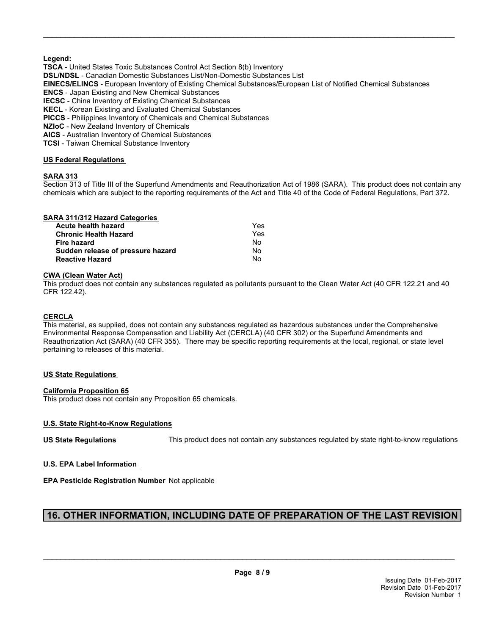#### **Legend:**

**TSCA** - United States Toxic Substances Control Act Section 8(b) Inventory

**DSL/NDSL** - Canadian Domestic Substances List/Non-Domestic Substances List

**EINECS/ELINCS** - European Inventory of Existing Chemical Substances/European List of Notified Chemical Substances

\_\_\_\_\_\_\_\_\_\_\_\_\_\_\_\_\_\_\_\_\_\_\_\_\_\_\_\_\_\_\_\_\_\_\_\_\_\_\_\_\_\_\_\_\_\_\_\_\_\_\_\_\_\_\_\_\_\_\_\_\_\_\_\_\_\_\_\_\_\_\_\_\_\_\_\_\_\_\_\_\_\_\_\_\_\_\_\_\_\_\_\_\_

**ENCS** - Japan Existing and New Chemical Substances

**IECSC** - China Inventory of Existing Chemical Substances

**KECL** - Korean Existing and Evaluated Chemical Substances

**PICCS** - Philippines Inventory of Chemicals and Chemical Substances

**NZIoC** - New Zealand Inventory of Chemicals

**AICS** - Australian Inventory of Chemical Substances

**TCSI** - Taiwan Chemical Substance Inventory

#### **US Federal Regulations**

#### **SARA 313**

Section 313 of Title III of the Superfund Amendments and Reauthorization Act of 1986 (SARA). This product does not contain any chemicals which are subject to the reporting requirements of the Act and Title 40 of the Code of Federal Regulations, Part 372.

#### **SARA 311/312 Hazard Categories**

| Acute health hazard               | Yes |
|-----------------------------------|-----|
| <b>Chronic Health Hazard</b>      | Yes |
| Fire hazard                       | No  |
| Sudden release of pressure hazard | No  |
| <b>Reactive Hazard</b>            | No  |

#### **CWA (Clean Water Act)**

This product does not contain any substances regulated as pollutants pursuant to the Clean Water Act (40 CFR 122.21 and 40 CFR 122.42).

#### **CERCLA**

This material, as supplied, does not contain any substances regulated as hazardous substances under the Comprehensive Environmental Response Compensation and Liability Act (CERCLA) (40 CFR 302) or the Superfund Amendments and Reauthorization Act (SARA) (40 CFR 355). There may be specific reporting requirements at the local, regional, or state level pertaining to releases of this material.

#### **US State Regulations**

#### **California Proposition 65**

This product does not contain any Proposition 65 chemicals.

#### **U.S. State Right-to-Know Regulations**

**US State Regulations** This product does not contain any substances regulated by state right-to-know regulations

#### **U.S. EPA Label Information**

**EPA Pesticide Registration Number** Not applicable

### **16. OTHER INFORMATION, INCLUDING DATE OF PREPARATION OF THE LAST REVISION**